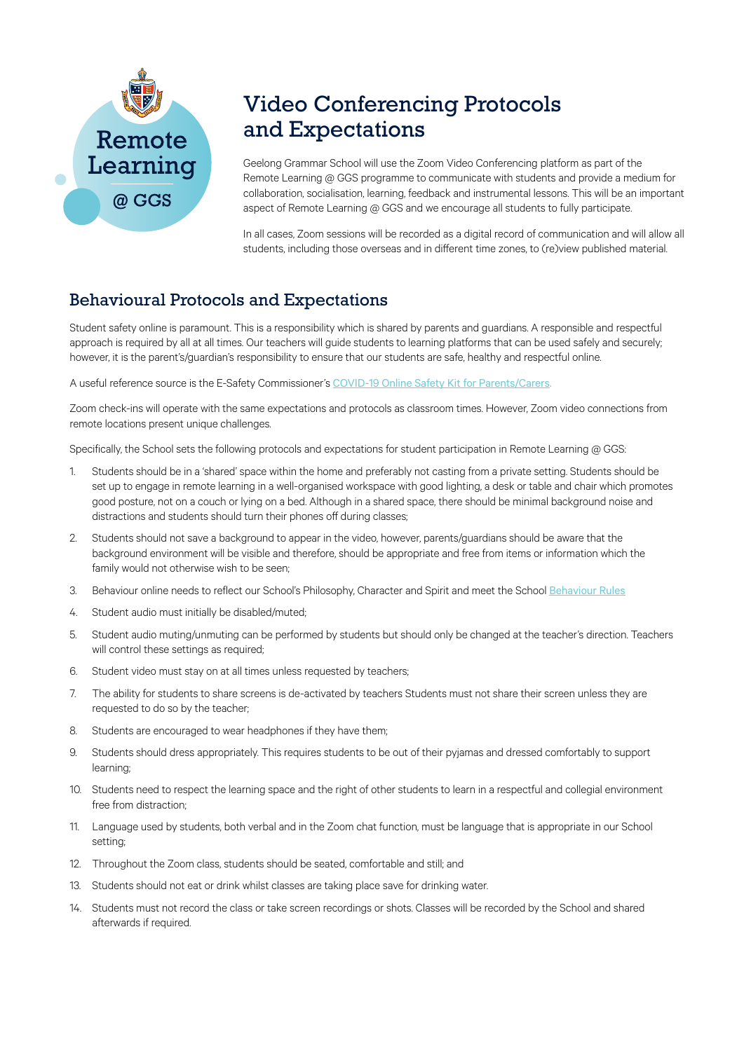

## Video Conferencing Protocols and Expectations

Geelong Grammar School will use the Zoom Video Conferencing platform as part of the Remote Learning @ GGS programme to communicate with students and provide a medium for collaboration, socialisation, learning, feedback and instrumental lessons. This will be an important aspect of Remote Learning @ GGS and we encourage all students to fully participate.

In all cases, Zoom sessions will be recorded as a digital record of communication and will allow all students, including those overseas and in different time zones, to (re)view published material.

## Behavioural Protocols and Expectations

Student safety online is paramount. This is a responsibility which is shared by parents and guardians. A responsible and respectful approach is required by all at all times. Our teachers will guide students to learning platforms that can be used safely and securely; however, it is the parent's/guardian's responsibility to ensure that our students are safe, healthy and respectful online.

A useful reference source is the E-Safety Commissioner's [COVID-19 Online Safety Kit for Parents/Carers.](https://www.esafety.gov.au/about-us/blog/covid-19-online-safety-kit-parents-and-carers)

Zoom check-ins will operate with the same expectations and protocols as classroom times. However, Zoom video connections from remote locations present unique challenges.

Specifically, the School sets the following protocols and expectations for student participation in Remote Learning @ GGS:

- 1. Students should be in a 'shared' space within the home and preferably not casting from a private setting. Students should be set up to engage in remote learning in a well-organised workspace with good lighting, a desk or table and chair which promotes good posture, not on a couch or lying on a bed. Although in a shared space, there should be minimal background noise and distractions and students should turn their phones off during classes;
- 2. Students should not save a background to appear in the video, however, parents/guardians should be aware that the background environment will be visible and therefore, should be appropriate and free from items or information which the family would not otherwise wish to be seen;
- 3. Behaviour online needs to reflect our School's Philosophy, Character and Spirit and meet the School [Behaviour Rules](https://www.ggs.vic.edu.au/Portal/Student-Resources/policies)
- 4. Student audio must initially be disabled/muted;
- 5. Student audio muting/unmuting can be performed by students but should only be changed at the teacher's direction. Teachers will control these settings as required;
- 6. Student video must stay on at all times unless requested by teachers;
- 7. The ability for students to share screens is de-activated by teachers Students must not share their screen unless they are requested to do so by the teacher;
- 8. Students are encouraged to wear headphones if they have them;
- 9. Students should dress appropriately. This requires students to be out of their pyjamas and dressed comfortably to support learning;
- 10. Students need to respect the learning space and the right of other students to learn in a respectful and collegial environment free from distraction;
- 11. Language used by students, both verbal and in the Zoom chat function, must be language that is appropriate in our School setting;
- 12. Throughout the Zoom class, students should be seated, comfortable and still; and
- 13. Students should not eat or drink whilst classes are taking place save for drinking water.
- 14. Students must not record the class or take screen recordings or shots. Classes will be recorded by the School and shared afterwards if required.